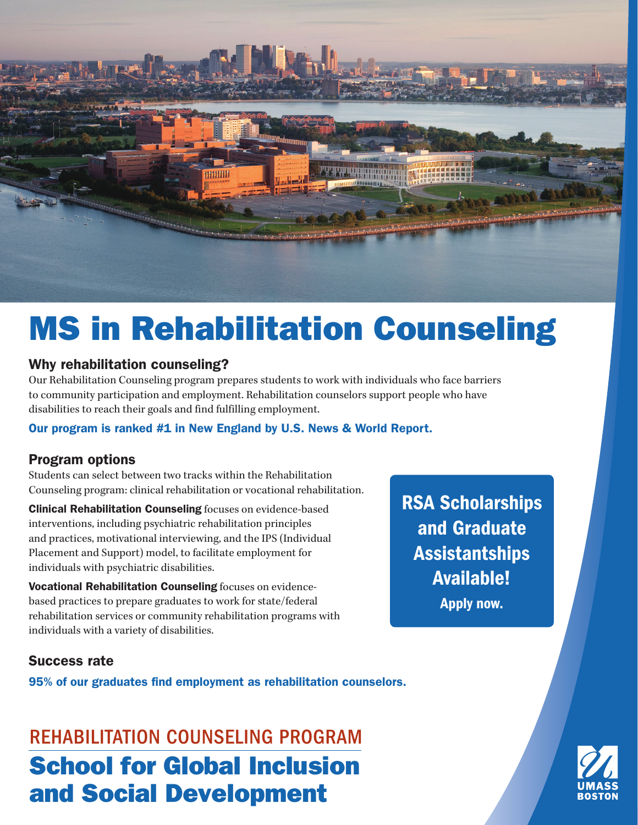

# MS in Rehabilitation Counseling

#### Why rehabilitation counseling?

Our Rehabilitation Counseling program prepares students to work with individuals who face barriers to community participation and employment. Rehabilitation counselors support people who have disabilities to reach their goals and find fulfilling employment.

#### Our program is ranked #1 in New England by U.S. News & World Report.

#### Program options

Students can select between two tracks within the Rehabilitation Counseling program: clinical rehabilitation or vocational rehabilitation.

Clinical Rehabilitation Counseling focuses on evidence-based interventions, including psychiatric rehabilitation principles and practices, motivational interviewing, and the IPS (Individual Placement and Support) model, to facilitate employment for individuals with psychiatric disabilities.

Vocational Rehabilitation Counseling focuses on evidencebased practices to prepare graduates to work for state/federal rehabilitation services or community rehabilitation programs with individuals with a variety of disabilities.

RSA Scholarships and Graduate Assistantships Available! Apply now.

#### Success rate

95% of our graduates find employment as rehabilitation counselors.

School for Global Inclusion and Social Development REHABILITATION COUNSELING PROGRAM